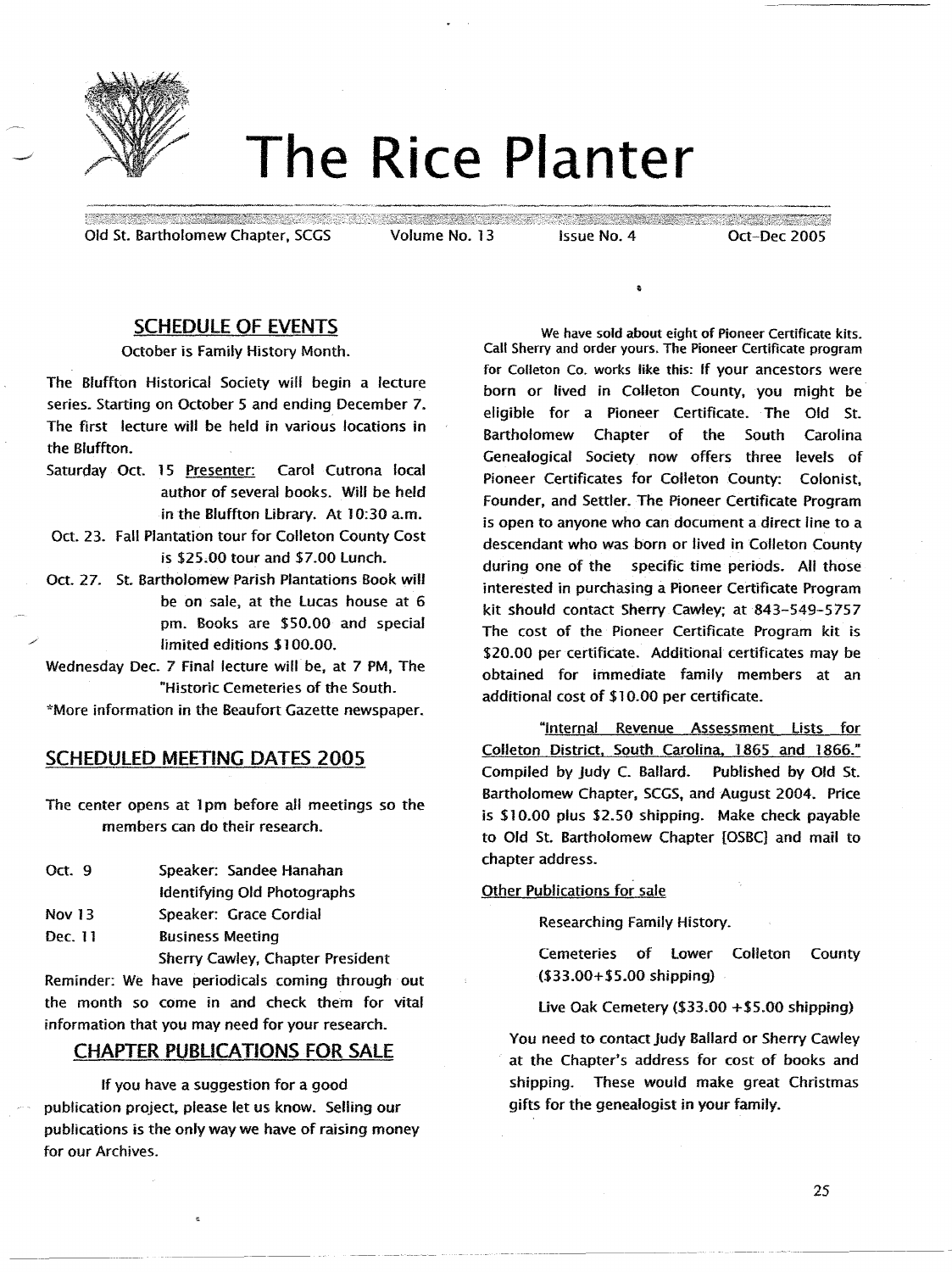

# **The Rice Planter**

Old St. Bartholomew Chapter, SCGS Volume No. 13 Issue No. 4 Oct-Dec 2005

# **SCHEDULE OF EVENTS**

October is Family History Month.

The Bluffton Historical Society will begin a lecture series. Starting on October 5 and ending December 7. The first lecture will be held in various locations in the Bluffton.

- Saturday Oct. 15 Presenter: Carol Cutrona local author of several books. Will be held in the Bluffton library. At 10:30 a.m.
- Oct. 23. Fall Plantation tour for Colleton County Cost is \$25,00 tour and \$7.00 lunch.
- Oct. 27. St. Bartholomew Parish Plantations Book will be on sale, at the lucas house at 6 pm. Books are \$50.00 and special limited editions \$100.00.

Wednesday Dee. 7 Final lecture will be, at 7 PM, The "Historic Cemeteries of the South.

\*More information in the Beaufort Gazette newspaper.

# **SCHEDULED MEETING DATES 2005**

The center opens at 1pm before all meetings so the members can do their research.

| Oct. 9 | Speaker: Sandee Hanahan     |
|--------|-----------------------------|
|        | Identifying Old Photographs |
| Nov 13 | Speaker: Grace Cordial      |

Dee. 11 Business Meeting

Sherry Cawley, Chapter President

Reminder: We have periodicals coming through out the month so come in and check them for vital information that you may need for your research.

# **CHAPTER PUBLICATIONS FOR SALE**

If you have a suggestion for a good publication project, please let us know. Selling our publications is the only way we have of raising money for our Archives.

We have sold about eight of Pioneer Certificate kits. Call Sherry and order yours. The Pioneer Certificate program for Colleton Co. works like this: If your ancestors were born or lived in Colleton County, you might be eligible for a Pioneer Certificate. The Old St. Bartholomew Chapter of the South Carolina Genealogical Society now offers three levels of Pioneer Certificates for Colleton County: Colonist, Founder, and Settler. The Pioneer Certificate Program is open to anyone who can document a direct line to a descendant who was born or lived in Colleton County during one of the specific time periods. All those interested in purchasing a Pioneer Certificate Program kit should contact Sherry Cawley; at 843-549-5757 The cost of the Pioneer Certificate Program kit is \$20.00 per certificate. Additional certificates may be obtained for immediate family members at an additional cost of \$10.00 per certificate.

"Internal Revenue Assessment lists for Colleton District, South Carolina. 1865 and 1866." Compiled by Judy C. Ballard. Published by Old St. Bartholomew Chapter, SCGS, and August 2004. Price is \$10.00 plus \$2.50 shipping. Make check payable to Old St. Bartholomew Chapter [OSBC] and mail to chapter address.

## Other Publications for sale

Researching Family History.

Cemeteries of lower Colleton County (\$33.00+\$5.00 shipping)

Live Oak Cemetery ( $$33.00 + $5.00$  shipping)

You need to contact Judy Ballard or Sherry Cawley at the Chapter's address for cost of books and shipping. These would make great Christmas gifts for the genealogist in your family.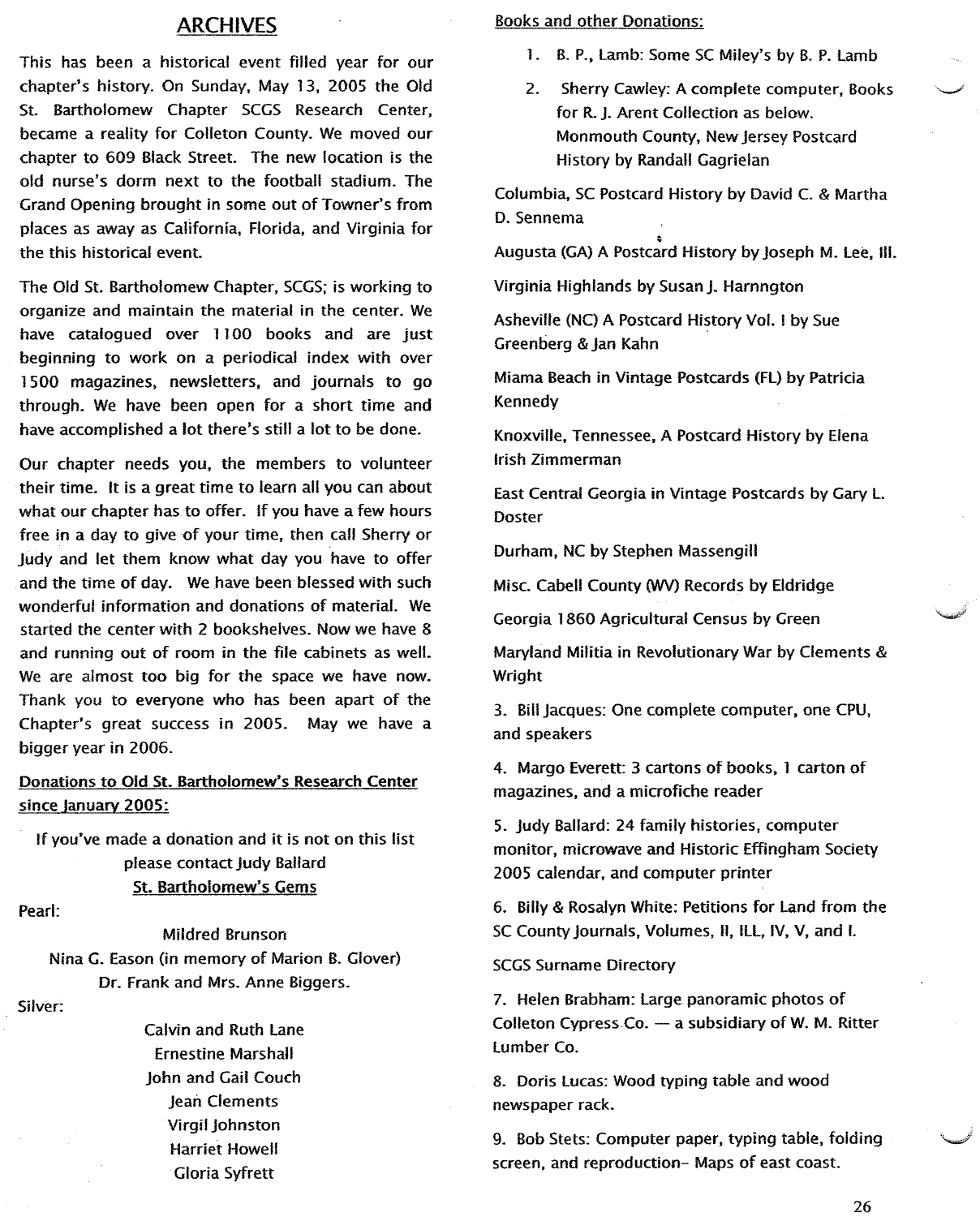## **ARCHIVES**

This has been a historical event filled year for our chapter's history. On Sunday, May 13, 2005 the Old St. Bartholomew Chapter SCGS Research Center, became a reality for Colleton County. We moved our chapter to 609 Black Street. The new location is the old nurse's dorm next to the football stadium. The Grand Opening brought in some out of Towner's from places as away as California, Florida, and Virginia for the this historical event.

The Old St. Bartholomew Chapter, SCGS: is working to organize and maintain the material in the center. We have catalogued over 1100 books and are just beginning to work on a periodical index with over 1500 magazines, newsletters, and journals to go through. We have been open for a short time and have accomplished a lot there's still a lot to be done.

Our chapter needs you, the members to volunteer their time. It is a great time to learn all you can about what our chapter has to offer. If you have a few hours free in a day to give of your time, then call Sherry or Judy and let them know what day you have to offer and the time of day. We have been blessed with such wonderful information and donations of material. We started the center with 2 bookshelves. Now we have 8 and running out of room in the file cabinets as well. We are almost too big for the space we have now. Thank you to everyone who has been apart of the Chapter's great success in 2005. May we have a bigger year in 2006.

## Donations to Old St. Bartholomew's Research Center since lanuary 2005:

If you've made a donation and it is not on this list please contact Judy Ballard St. Bartholomew's Gems

Pearl:

Mildred Brunson Nina G. Eason (in memory of Marion B. Glover) Dr. Frank and Mrs. Anne Biggers.

Silver:

Calvin and Ruth Lane Ernestine Marshall John and Gail Couch Jean Clements Virgil Johnston Harriet Howell Gloria Syfrett

#### Books and other Donations:

- 1. B. P., Lamb: Some SC Miley's by B. P. Lamb
- 2. Sherry Cawley: A complete computer, Books for R.j. Arent Collection as below. Monmouth County, New Jersey Postcard History by Randall Gagrielan

Columbia, SC Postcard History by David C. & Martha D. Sennema

; Augusta (GA) A Postcard History by Joseph M. Lee, III.

Virginia Highlands by Susan J. Harnngton

Asheville (NC) A Postcard History Vol. I by Sue Greenberg & Jan Kahn

Miama Beach in Vintage Postcards (FL) by Patricia Kennedy

Knoxville, Tennessee, A Postcard History by Elena Irish Zimmerman

East Central Georgia in Vintage Postcards by Gary L. Doster

Durham, NC by Stephen Massengill

Misc. Cabell County (WV) Records by Eldridge

Georgia 1860 Agricultural Census by Green

Maryland Militia in Revolutionary War by Clements & Wright

3. Bill Jacques: One complete computer, one CPU, and speakers

4. Margo Everett: 3 cartons of books, 1 carton of magazines, and a microfiche reader

5. Judy Ballard: 24 family histories, computer monitor, microwave and Historic Effingham Society 2005 calendar, and computer printer

6. Billy & Rosalyn White: Petitions for Land from the SC County Journals, Volumes, II, ILL, IV, V, and I.

**SCGS Surname Directory** 

7. Helen Brabham: Large panoramic photos of Colleton Cypress Co.  $-$  a subsidiary of W. M. Ritter Lumber Co.

8. Doris Lucas: Wood typing table and wood newspaper rack.

9. Bob Stets: Computer paper, typing table, folding screen, and reproduction- Maps of east coast.

26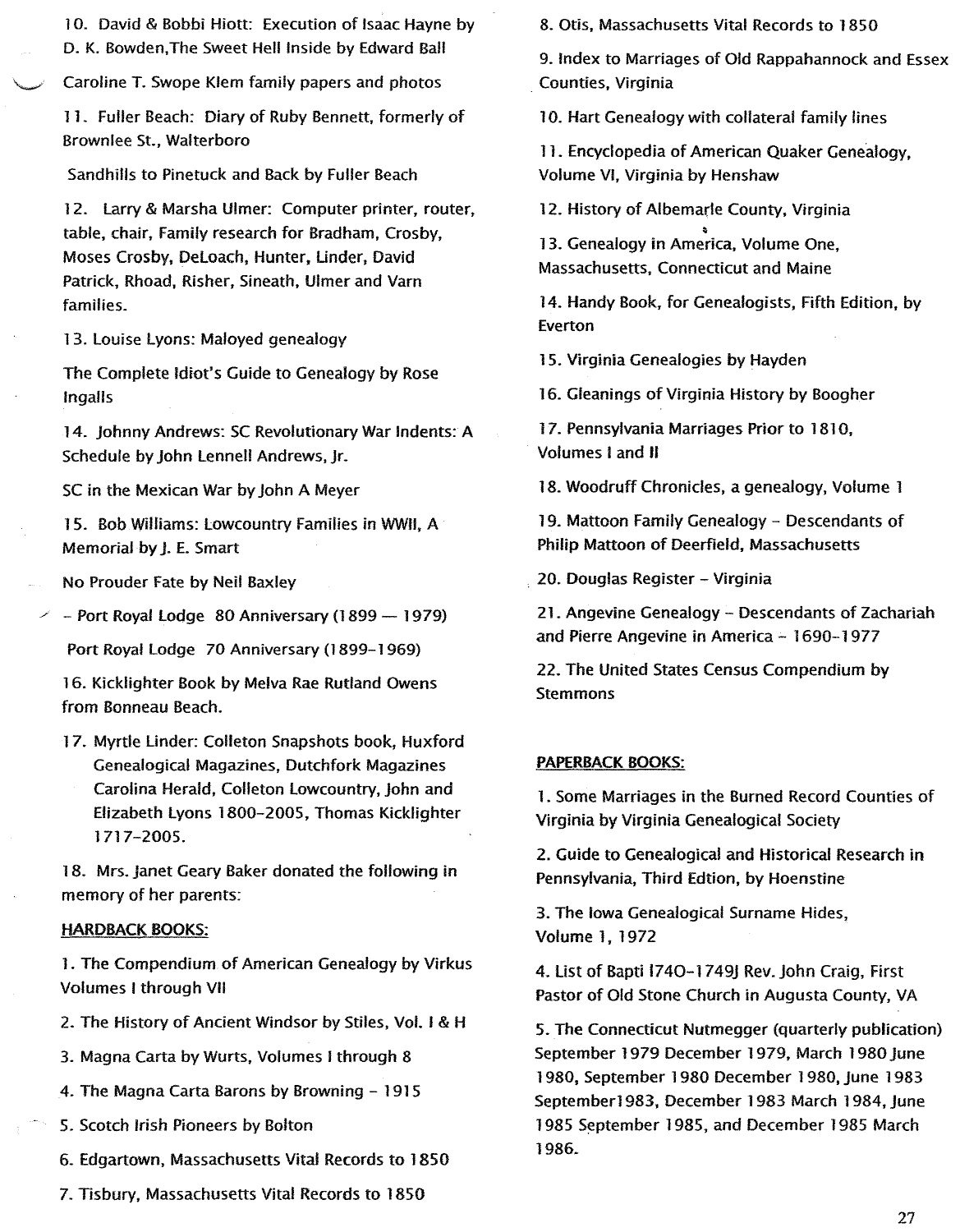10. David & Bobbi Hiott: Execution of Isaac Hayne by D. K. Bowden,The Sweet Hell Inside by Edward Ball

Caroline T. Swope Klem family papers and photos

11. Fuller Beach: Diary of Ruby Bennett, formerly of Brownlee St., Walterboro

Sandhills to Pinetuck and Back by Fuller Beach

12. Larry & Marsha Ulmer: Computer printer, router, table, chair, family research for Bradham, Crosby, Moses Crosby, DeLoach, Hunter, Under, David Patrick, Rhoad, Risher, Sineath, Ulmer and Varn families.

13. Louise lyons: Maloyed genealogy

The Complete Idiot's Guide to Genealogy by Rose Ingalls

14. johnny Andrews: SC Revolutionary War Indents: A Schedule by John Lennell Andrews, Jr.

SC in the Mexican War by John A Meyer

15. Bob Williams: Lowcountry Families in WWII, A Memorial by j. E. Smart

No Prouder Fate by Neil Baxley

 $-$  Port Royal Lodge 80 Anniversary (1899  $-$  1979)

Port Royal Lodge 70 Anniversary (1899-1969)

16. Kicklighter Book by Melva Rae Rutland Owens from Bonneau Beach.

17. Myrtle Linder: Colleton Snapshots book, Huxford Genealogical Magazines, Dutchfork Magazines Carolina Herald, Colleton lowcountry, John and Elizabeth lyons 1800-2005, Thomas Kicklighter 1717-2005.

18. Mrs. Janet Geary Baker donated the following in memory of her parents:

## HARDBACK BOOKS:

1. The Compendium of American Genealogy by Virkus Volumes I through VII

- 2. The History of Ancient Windsor by Stiles, Vol. I & H
- 3. Magna Carta by Wurts, Volumes I through 8
- 4. The Magna Carta Barons by Browning 1915
- S. Scotch Irish Pioneers by Bolton
- 6. Edgartown, Massachusetts Vital Records to 1850

8. Otis, Massachusetts Vital Records to 1850

9. Index to Marriages of Old Rappahannock and Essex . Counties, Virginia

10. Hart Genealogy with collateral family lines

11. Encyclopedia of American Quaker Genealogy, Volume VI, Virginia by Henshaw

12. History of Albemarle County, Virginia

13. Genealogy in America, Volume One, Massachusetts, Connecticut and Maine

14. Handy Book, for Genealogists, Fifth Edition, by Everton

15. Virginia Genealogies by Hayden

16. Gleanings of Virginia History by Boogher

17. Pennsylvania Marriages Prior to 1810, Volumes I and II

18. Woodruff Chronicles, a genealogy, Volume 1

19. Mattoon Family Genealogy - Descendants of Philip Mattoon of Deerfield, Massachusetts

. 20. Douglas Register - Virginia

21. Angevine Genealogy - Descendants of Zachariah and Pierre Angevine in America - 1690-1977

22. The United States Census Compendium by Stemmons

## PAPERBACK BOOKS:

1. Some Marriages in the Burned Record Counties of Virginia by Virginia Genealogical Society

2. Guide to Genealogical and Historical Research in Pennsylvania, Third Edtion, by Hoenstine

3. The Iowa Genealogical Surname Hides, Volume 1, 1972

4. List of Bapti 1740-1749J Rev. John Craig, First Pastor of Old Stone Church in Augusta County, VA

5. The Connecticut Nutmegger (quarterly publication) September 1979 December 1979, March 1980 June 1980, September 1980 December 1980, June 1983 September1983, December 1983 March 1984, June 1985 September 1985, and December 1985 March 1986.

7. Tisbury, Massachusetts Vital Records to 1850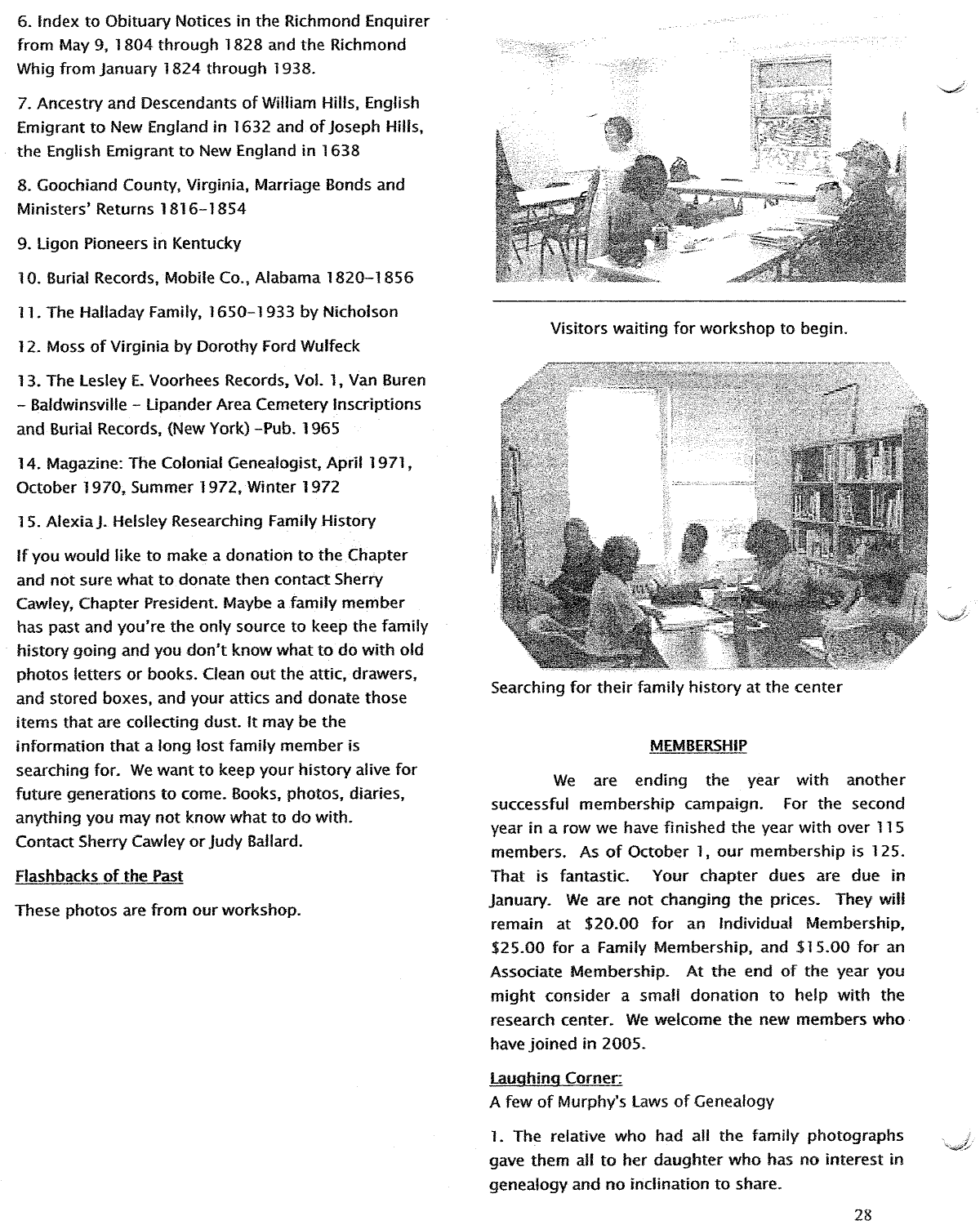6. Index to Obituary Notices in the Richmond Enquirer from May 9, 1804 through 1828 and the Richmond Whig from January 1824 through 1938.

7. Ancestry and Descendants of William Hills, English Emigrant to New England in 1632 and of Joseph Hills, the English Emigrant to New England in 1638

8. Goochiand County, Virginia, Marriage Bonds and Ministers' Returns 1816-1854

9. ligon Pioneers in Kentucky

10. Burial Records, Mobile Co., Alabama 1820-1856

11. The Halladay Family. 1650-1933 by Nicholson

12. Moss of Virginia by Dorothy ford Wulfeck

13. The Lesley E. Voorhees Records, Vol. 1, Van Buren - Baldwinsville - Upander Area Cemetery Inscriptions and Burial Records, (New York) -Pub. 1965

14. Magazine: The Colonial Genealogist, April 1971. October 1970, Summer 1972, Winter 1972

15. Alexia J. Helsley Researching Family History

If you would like to make a donation to the Chapter and not sure what to donate then contact Sherry Cawley, Chapter President. Maybe a family member has past and you're the only source to keep the family history going and you don't know what to do with old photos letters or books. Clean out the attic, drawers, and stored boxes. and your attics and donate those items that are collecting dust. It may be the information that a long lost family member is searching for. We want to keep your history alive for future generations to come. Books, photos, diaries, anything you may not know what to do with. Contact Sherry Cawley or Judy Ballard.

## flashbacks of the Past

These photos are from our workshop.



Visitors waiting for workshop to begin.



Searching for their family history at the center

#### MEMBERSHIP

We are ending the year with another successful membership campaign. For the second year in a row we have finished the year with over 115 members. As of October 1, our membership is 125. That is fantastic. Your chapter dues are due in january. We are not changing the prices. They will remain at \$20.00 for an Individual Membership, \$25.00 for a Family Membership. and \$15.00 for an Associate Membership. At the end of the year you might consider a small donation to help with the research center. We welcome the new members who have joined in 2005.

### Laughing Corner:

A few of Murphy's laws of Genealogy

1. The relative who had all the family photographs gave them all to her daughter who has no interest in genealogy and no inclination to share.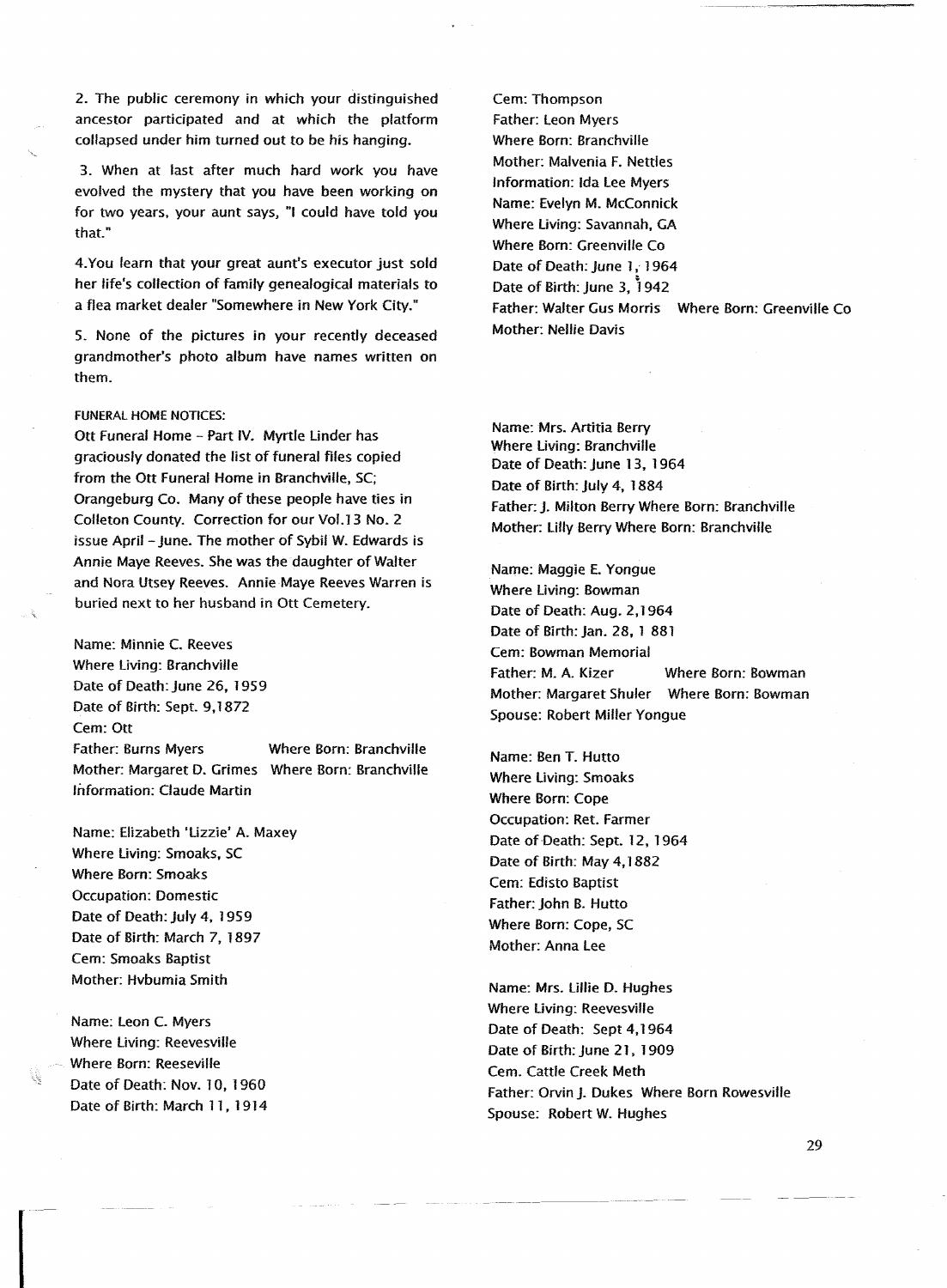2. The public ceremony in which your distinguished ancestor participated and at which the platform collapsed under him turned out to be his hanging.

3. When at last after much hard work you have evolved the mystery that you have been working on for two years, your aunt says, "I could have told you that."

4.You learn that your great aunt's executor just sold her life's collection of family genealogical materials to a flea market dealer "Somewhere in New York City."

5. None of the pictures in your recently deceased grandmother's photo album have names written on them.

### FUNERAL HOME NOTICES:

Ott Funeral Home - Part IV. Myrtle Linder has graciously donated the list of funeral files copied from the Ott Funeral Home in Branchville, SC; Orangeburg Co. Many of these people have ties in Colleton County. Correction for our Vol. 13 NO.2 issue April - June. The mother of Sybil W. Edwards is Annie Maye Reeves. She was the daughter of Walter and Nora Utsey Reeves. Annie Maye Reeves Warren is buried next to her husband in Ott Cemetery.

Name: Minnie C. Reeves Where Living: Branchville Date of Death: June 26, 1959 Date of Birth: Sept. 9, 1872 Cem: Ott Father: Burns Myers Mother: Margaret O. Grimes Where Born: Branchville Information: Claude Martin Where Born: Branchville

Name: Elizabeth 'Lizzie' A. Maxey Where living: Smoaks, SC Where Born: Smoaks Occupation: Domestic Date of Death: July 4, 1959 Date of Birth: March 7, 1897 Cem: Smoaks Baptist Mother: Hvbumia Smith

Name: leon C. Myers Where living: Reevesville Where Born: Reeseville Date of Death: Nov. 10, 1960 Date of Birth: March 11, 1914 Cem: Thompson Father: leon Myers Where Born: Branchville Mother: Malvenia F. Nettles Information: Ida lee Myers Name: Evelyn M. McConnick Where living: Savannah, GA Where Born: Greenville Co Date of Death: June 1, 1964 Date of Birth: June 3, 1942 Father: Walter Gus Morris Where Born: Greenville Co Mother: Nellie Davis

Name: Mrs. Artitia Berry Where living: Branchville Date of Death: June 13, 1964 Date of Birth: July 4, 1884 Father: J. Milton Berry Where Born: Branchville Mother: lilly Berry Where Born: Branchville

Name: Maggie E. Yongue Where living: Bowman Date of Death: Aug. 2,1964 Date of Birth: Jan. 28, 1 881 Cem: Bowman Memorial Father: M. A. Kizer Where Born: Bowman Mother: Margaret Shuler Where Born: Bowman Spouse: Robert Miller Yongue

Name: Ben T. Hutto Where living: Smoaks Where Born: Cope Occupation: Ret. Farmer Date of Death: Sept. 12, 1964 Date of Birth: May 4,1882 Cem: Edisto Baptist Father: John B. Hutto Where Born: Cope, SC Mother: Anna lee

Name: Mrs. Lillie D. Hughes Where living: Reevesville Date of Death: Sept 4,1964 Date of Birth: June 21, 1909 Cem. Cattle Creek Meth Father: Orvin J. Dukes Where Born Rowesville Spouse: Robert W. Hughes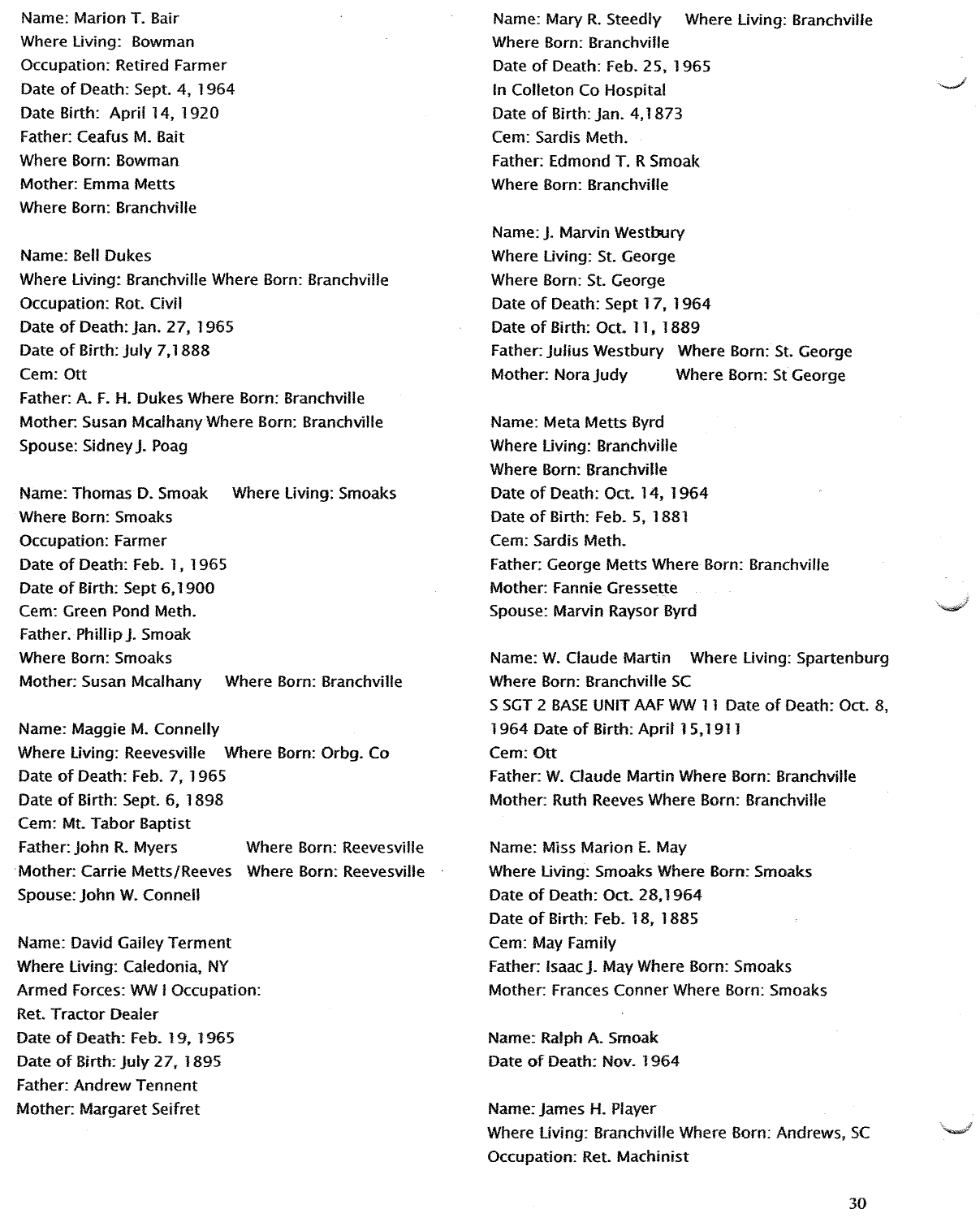Name: Marion T. Bair Where living: Bowman Occupation: Retired Farmer Date of Death: Sept. 4, 1964 Date Birth: April 14, 1920 Father: Ceafus M. Bait Where Born: Bowman Mother: Emma Metts Where Born: Branchville

Name: Bell Dukes Where living: Branchville Where Born: Branchville Occupation: Rot. Civil Date of Death: Jan. 27, 1965 Date of Birth: july 7,1888 Cem:Ott Father: A. F. H. Dukes Where Born: Branchville Mother: Susan McalhanyWhere Born: Branchville Spouse: Sidney j. Poag

Name: Thomas D. Smoak Where living: Smoaks Where Born: Smoaks Occupation: Farmer Date of Death: Feb. 1, 1965 Date of Birth: Sept 6,1900 Cern: Green Pond Meth. Father. Phillip j. Smoak Where Born: Smoaks Mother: Susan Mcalhany Where Born: Branchville

Name: Maggie M. Connelly Where living: Reevesville Where Born: Orbg. Co Date of Death: Feb. 7, 1965 Date of Birth: Sept. 6, 1898 Cern: Mt. Tabor Baptist Father: John R. Myers Where Born: Reevesville Mother: Carrie Metts/Reeves Where Born: Reevesville Spouse: John W. Connell

Name: David Gailey Terment Where living: Caledonia, NY Armed forces: WW I Occupation: Ret. Tractor Dealer Date of Death: Feb. 19, 1965 Date of Birth: July 27, 1895 Father: Andrew Tennent Mother: Margaret Seifret

Name: Mary R. Steedly Where living: Branchville Where Born: Branchville Date of Death: Feb. 25, 1965 In Colleton Co Hospital Date of Birth: Jan. 4,1873 Cern: Sardis Meth. Father: Edmond T. R Smoak Where Born: Branchville

Name: j. Marvin Westbury Where living: St. George Where Born: St. George Date of Death: Sept 17, 1964 Date of Birth: Oct. 11, 1889 Father: Julius Westbury Where Born: St. George Mother: Nora Judy Where Born: St George

Name: Meta Metts Byrd Where living: Branchville Where Born: Branchville Date of Death: Oct. 14, 1964 Date of Birth: Feb. 5, 1881 Cem: Sardis Meth. Father: George Metts Where Born: Branchville Mother: Fannie Gressette Spouse: Marvin Raysor Byrd

Name: W. Claude Martin Where living: Spartenburg Where Born: Branchville SC S SGT 2 BASE UNIT AAF WW 11 Date of Death: Oct. 8, 1964 Date of Birth: April 15,1911 Cem: Ott Father: W. Claude Martin Where Born: Branchvilfe Mother: Ruth Reeves Where Born: Branchville

Name: Miss Marion E. May Where living: Smoaks Where Born: Smoaks Date of Death: Oct. 28,1964 Date of Birth: Feb. 18, 1885 Cern: May Family Father: Isaac j. May Where Born: Smoaks Mother: Frances Conner Where Born: Smoaks

Name: Ralph A. Smoak Date of Death: Nov. 1964

Name: James H. Player Where living: Branchville Where Born: Andrews, SC Occupation: Ret. Machinist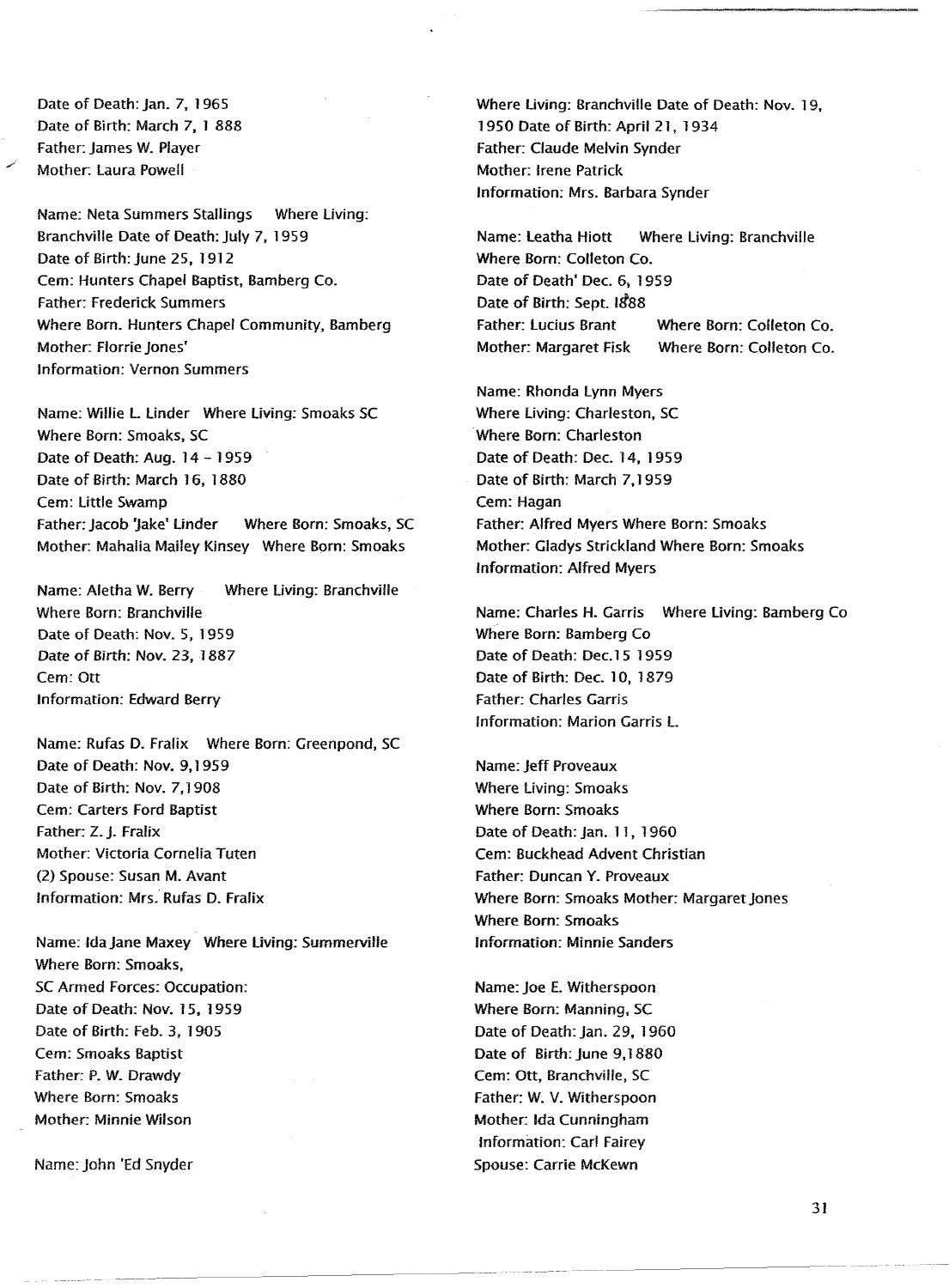Date of Death: jan. 7, 1965 Date of Birth: March 7, 1 888 Father: james W. Player Mother: Laura Powell

Name: Neta Summers Stallings Where living: Branchville Date of Death: july 7, 1959 Date of Birth: June 25, 1912 Cem: Hunters Chapel Baptist, Bamberg Co. Father: Frederick Summers Where Born. Hunters Chapel Community, Bamberg Mother: Florrie Jones' Information: Vernon Summers

Name: Willie L. Linder Where Living: Smoaks SC Where Born: Smoaks, SC Date of Death: Aug. 14 - 1959 Date of Birth: March 16, 1880 Cem: little Swamp Father: Jacob 'Jake' Linder Where Born: Smoaks, SC Mother: Mahalia Mailey Kinsey Where Born: Smoaks

Name: Aletha W. Berry Where living: Branchville Where Born: Branchville Date of Death: Nov. 5, 1959 *Date* of Birth: Nov. 23,1887 Cem: Ott Information: Edward Berry

Name: Rufas D. Fralix Where Born: Greenpond, SC Date of Death: Nov. 9,1959 Date of Birth: Nov. 7,1908 Cem: Carters Ford Baptist Father: Z. J. Fralix Mother: Victoria Cornelia Tuten (2) Spouse: Susan M. Avant Information: Mrs. Rufas D. Fralix

Name: IdaJane Maxey Where living: Summerville Where Born: Smoaks, SC Armed Forces: Occupation: Date of Death: Nov. 15, 1959 Date of Birth: Feb. 3, 1905 Cem: Smoaks Baptist father: P. W. Drawdy Where Born: Smoaks Mother: Minnie Wilson

----------------

Name: john 'Ed Snyder

Where living: Branchville Date of Death: Nov. 19, 1950 Date of Birth: April 21, 1934 Father: Claude Melvin Synder Mother: Irene Patrick Information: Mrs. Barbara Synder

Where Born: Colleton Co. Where Born: Colleton Co. Name: leatha Hiott Where living: Branchville Where Born: Colleton Co. Date of Death' Dec. 6, 1959 Date of Birth: Sept. 1888 Father: Lucius Brant Mother: Margaret Fisk

Name: Rhonda Lynn Myers Where living: Charleston, SC Where Born: Charleston Date of Death: Dee. 14, 1959 Date of Birth: March 7,1959 Cem: Hagan Father: Alfred Myers Where Born: Smoaks Mother: Gladys Strickland Where Born: Smoaks Information: Alfred Myers

Name: Charles H. Garris Where Living: Bamberg Co Where Born: Bamberg Co Date of Death: Dec.15 1959 Date of Birth: Dec. 10, 1879 Father: Charles Garris Information: Marion Garris L.

Name: Jeff Proveaux Where living: Smoaks Where Born: Smoaks Date of Death: Jan. 11, 1960 Cem: Buckhead Advent Christian Father: Duncan Y. Proveaux Where Born: Smoaks Mother: Margaret Jones Where Born: Smoaks Information: Minnie Sanders

Name: Joe E. Witherspoon Where Born: Manning, SC Date of Death: Jan. 29, 1960 Date of Birth: June 9,1880 Cem: Ott, Branchville, SC Father: W. V. Witherspoon Mother: Ida Cunningham Information: Carl Fairey Spouse: Carrie McKewn